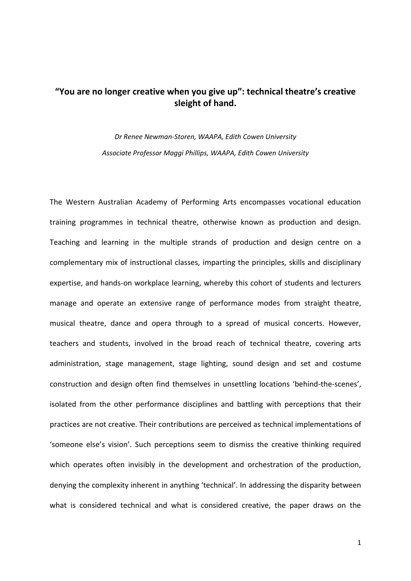# **"You are no longer creative when you give up": technical theatre's creative sleight of hand.**

*Dr Renee Newman-Storen, WAAPA, Edith Cowen University Associate Professor Maggi Phillips, WAAPA, Edith Cowen University*

The Western Australian Academy of Performing Arts encompasses vocational education training programmes in technical theatre, otherwise known as production and design. Teaching and learning in the multiple strands of production and design centre on a complementary mix of instructional classes, imparting the principles, skills and disciplinary expertise, and hands-on workplace learning, whereby this cohort of students and lecturers manage and operate an extensive range of performance modes from straight theatre, musical theatre, dance and opera through to a spread of musical concerts. However, teachers and students, involved in the broad reach of technical theatre, covering arts administration, stage management, stage lighting, sound design and set and costume construction and design often find themselves in unsettling locations 'behind-the-scenes', isolated from the other performance disciplines and battling with perceptions that their practices are not creative. Their contributions are perceived as technical implementations of 'someone else's vision'. Such perceptions seem to dismiss the creative thinking required which operates often invisibly in the development and orchestration of the production, denying the complexity inherent in anything 'technical'. In addressing the disparity between what is considered technical and what is considered creative, the paper draws on the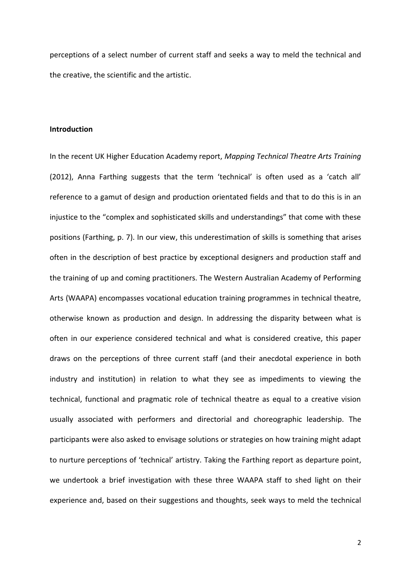perceptions of a select number of current staff and seeks a way to meld the technical and the creative, the scientific and the artistic.

# **Introduction**

In the recent UK Higher Education Academy report, *Mapping Technical Theatre Arts Training*  (2012), Anna Farthing suggests that the term 'technical' is often used as a 'catch all' reference to a gamut of design and production orientated fields and that to do this is in an injustice to the "complex and sophisticated skills and understandings" that come with these positions (Farthing, p. 7). In our view, this underestimation of skills is something that arises often in the description of best practice by exceptional designers and production staff and the training of up and coming practitioners. The Western Australian Academy of Performing Arts (WAAPA) encompasses vocational education training programmes in technical theatre, otherwise known as production and design. In addressing the disparity between what is often in our experience considered technical and what is considered creative, this paper draws on the perceptions of three current staff (and their anecdotal experience in both industry and institution) in relation to what they see as impediments to viewing the technical, functional and pragmatic role of technical theatre as equal to a creative vision usually associated with performers and directorial and choreographic leadership. The participants were also asked to envisage solutions or strategies on how training might adapt to nurture perceptions of 'technical' artistry. Taking the Farthing report as departure point, we undertook a brief investigation with these three WAAPA staff to shed light on their experience and, based on their suggestions and thoughts, seek ways to meld the technical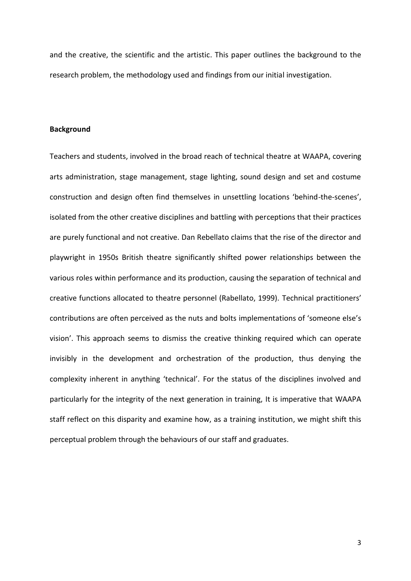and the creative, the scientific and the artistic. This paper outlines the background to the research problem, the methodology used and findings from our initial investigation.

# **Background**

Teachers and students, involved in the broad reach of technical theatre at WAAPA, covering arts administration, stage management, stage lighting, sound design and set and costume construction and design often find themselves in unsettling locations 'behind-the-scenes', isolated from the other creative disciplines and battling with perceptions that their practices are purely functional and not creative. Dan Rebellato claims that the rise of the director and playwright in 1950s British theatre significantly shifted power relationships between the various roles within performance and its production, causing the separation of technical and creative functions allocated to theatre personnel (Rabellato, 1999). Technical practitioners' contributions are often perceived as the nuts and bolts implementations of 'someone else's vision'. This approach seems to dismiss the creative thinking required which can operate invisibly in the development and orchestration of the production, thus denying the complexity inherent in anything 'technical'. For the status of the disciplines involved and particularly for the integrity of the next generation in training, It is imperative that WAAPA staff reflect on this disparity and examine how, as a training institution, we might shift this perceptual problem through the behaviours of our staff and graduates.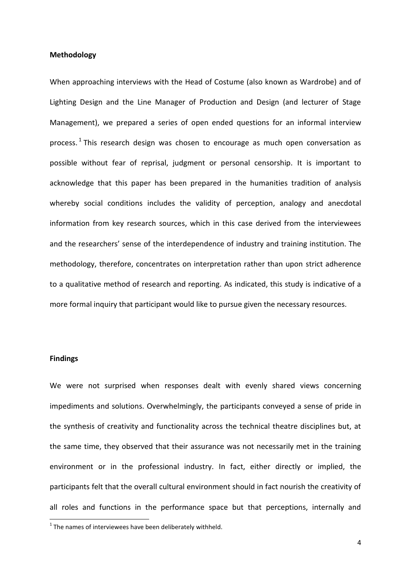# **Methodology**

When approaching interviews with the Head of Costume (also known as Wardrobe) and of Lighting Design and the Line Manager of Production and Design (and lecturer of Stage Management), we prepared a series of open ended questions for an informal interview process.<sup>1</sup> This research design was chosen to encourage as much open conversation as possible without fear of reprisal, judgment or personal censorship. It is important to acknowledge that this paper has been prepared in the humanities tradition of analysis whereby social conditions includes the validity of perception, analogy and anecdotal information from key research sources, which in this case derived from the interviewees and the researchers' sense of the interdependence of industry and training institution. The methodology, therefore, concentrates on interpretation rather than upon strict adherence to a qualitative method of research and reporting. As indicated, this study is indicative of a more formal inquiry that participant would like to pursue given the necessary resources.

## **Findings**

**.** 

We were not surprised when responses dealt with evenly shared views concerning impediments and solutions. Overwhelmingly, the participants conveyed a sense of pride in the synthesis of creativity and functionality across the technical theatre disciplines but, at the same time, they observed that their assurance was not necessarily met in the training environment or in the professional industry. In fact, either directly or implied, the participants felt that the overall cultural environment should in fact nourish the creativity of all roles and functions in the performance space but that perceptions, internally and

 $1$  The names of interviewees have been deliberately withheld.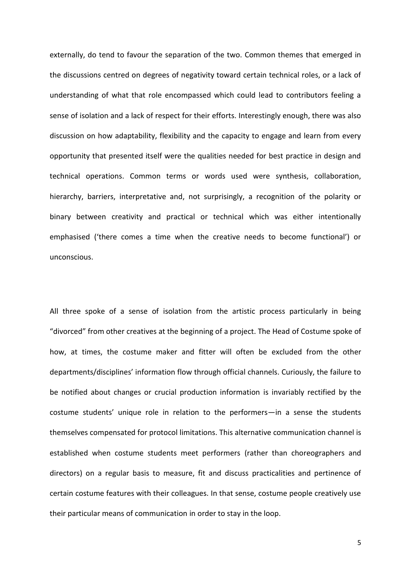externally, do tend to favour the separation of the two. Common themes that emerged in the discussions centred on degrees of negativity toward certain technical roles, or a lack of understanding of what that role encompassed which could lead to contributors feeling a sense of isolation and a lack of respect for their efforts. Interestingly enough, there was also discussion on how adaptability, flexibility and the capacity to engage and learn from every opportunity that presented itself were the qualities needed for best practice in design and technical operations. Common terms or words used were synthesis, collaboration, hierarchy, barriers, interpretative and, not surprisingly, a recognition of the polarity or binary between creativity and practical or technical which was either intentionally emphasised ('there comes a time when the creative needs to become functional') or unconscious.

All three spoke of a sense of isolation from the artistic process particularly in being "divorced" from other creatives at the beginning of a project. The Head of Costume spoke of how, at times, the costume maker and fitter will often be excluded from the other departments/disciplines' information flow through official channels. Curiously, the failure to be notified about changes or crucial production information is invariably rectified by the costume students' unique role in relation to the performers—in a sense the students themselves compensated for protocol limitations. This alternative communication channel is established when costume students meet performers (rather than choreographers and directors) on a regular basis to measure, fit and discuss practicalities and pertinence of certain costume features with their colleagues. In that sense, costume people creatively use their particular means of communication in order to stay in the loop.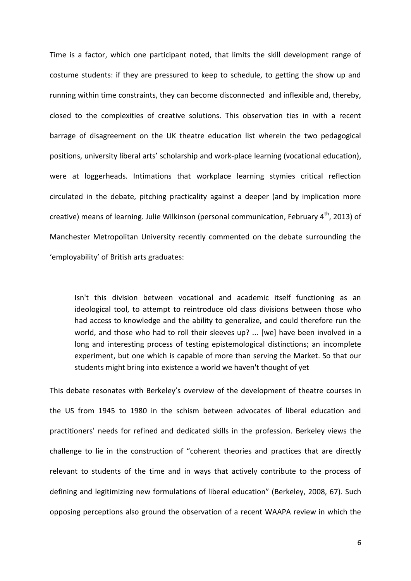Time is a factor, which one participant noted, that limits the skill development range of costume students: if they are pressured to keep to schedule, to getting the show up and running within time constraints, they can become disconnected and inflexible and, thereby, closed to the complexities of creative solutions. This observation ties in with a recent barrage of disagreement on the UK theatre education list wherein the two pedagogical positions, university liberal arts' scholarship and work-place learning (vocational education), were at loggerheads. Intimations that workplace learning stymies critical reflection circulated in the debate, pitching practicality against a deeper (and by implication more creative) means of learning. Julie Wilkinson (personal communication, February  $4^{th}$ , 2013) of Manchester Metropolitan University recently commented on the debate surrounding the 'employability' of British arts graduates:

Isn't this division between vocational and academic itself functioning as an ideological tool, to attempt to reintroduce old class divisions between those who had access to knowledge and the ability to generalize, and could therefore run the world, and those who had to roll their sleeves up? ... [we] have been involved in a long and interesting process of testing epistemological distinctions; an incomplete experiment, but one which is capable of more than serving the Market. So that our students might bring into existence a world we haven't thought of yet

This debate resonates with Berkeley's overview of the development of theatre courses in the US from 1945 to 1980 in the schism between advocates of liberal education and practitioners' needs for refined and dedicated skills in the profession. Berkeley views the challenge to lie in the construction of "coherent theories and practices that are directly relevant to students of the time and in ways that actively contribute to the process of defining and legitimizing new formulations of liberal education" (Berkeley, 2008, 67). Such opposing perceptions also ground the observation of a recent WAAPA review in which the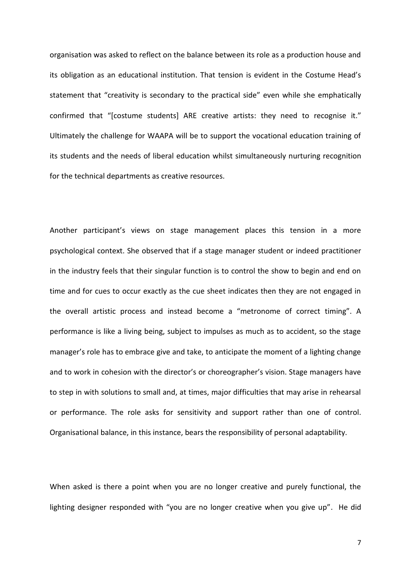organisation was asked to reflect on the balance between its role as a production house and its obligation as an educational institution. That tension is evident in the Costume Head's statement that "creativity is secondary to the practical side" even while she emphatically confirmed that "[costume students] ARE creative artists: they need to recognise it." Ultimately the challenge for WAAPA will be to support the vocational education training of its students and the needs of liberal education whilst simultaneously nurturing recognition for the technical departments as creative resources.

Another participant's views on stage management places this tension in a more psychological context. She observed that if a stage manager student or indeed practitioner in the industry feels that their singular function is to control the show to begin and end on time and for cues to occur exactly as the cue sheet indicates then they are not engaged in the overall artistic process and instead become a "metronome of correct timing". A performance is like a living being, subject to impulses as much as to accident, so the stage manager's role has to embrace give and take, to anticipate the moment of a lighting change and to work in cohesion with the director's or choreographer's vision. Stage managers have to step in with solutions to small and, at times, major difficulties that may arise in rehearsal or performance. The role asks for sensitivity and support rather than one of control. Organisational balance, in this instance, bears the responsibility of personal adaptability.

When asked is there a point when you are no longer creative and purely functional, the lighting designer responded with "you are no longer creative when you give up". He did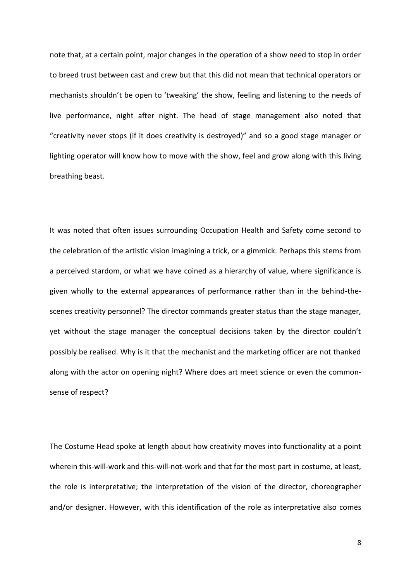note that, at a certain point, major changes in the operation of a show need to stop in order to breed trust between cast and crew but that this did not mean that technical operators or mechanists shouldn't be open to 'tweaking' the show, feeling and listening to the needs of live performance, night after night. The head of stage management also noted that "creativity never stops (if it does creativity is destroyed)" and so a good stage manager or lighting operator will know how to move with the show, feel and grow along with this living breathing beast.

It was noted that often issues surrounding Occupation Health and Safety come second to the celebration of the artistic vision imagining a trick, or a gimmick. Perhaps this stems from a perceived stardom, or what we have coined as a hierarchy of value, where significance is given wholly to the external appearances of performance rather than in the behind-thescenes creativity personnel? The director commands greater status than the stage manager, yet without the stage manager the conceptual decisions taken by the director couldn't possibly be realised. Why is it that the mechanist and the marketing officer are not thanked along with the actor on opening night? Where does art meet science or even the commonsense of respect?

The Costume Head spoke at length about how creativity moves into functionality at a point wherein this-will-work and this-will-not-work and that for the most part in costume, at least, the role is interpretative; the interpretation of the vision of the director, choreographer and/or designer. However, with this identification of the role as interpretative also comes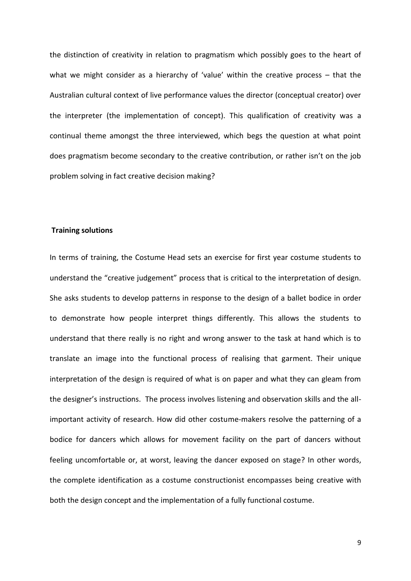the distinction of creativity in relation to pragmatism which possibly goes to the heart of what we might consider as a hierarchy of 'value' within the creative process – that the Australian cultural context of live performance values the director (conceptual creator) over the interpreter (the implementation of concept). This qualification of creativity was a continual theme amongst the three interviewed, which begs the question at what point does pragmatism become secondary to the creative contribution, or rather isn't on the job problem solving in fact creative decision making?

## **Training solutions**

In terms of training, the Costume Head sets an exercise for first year costume students to understand the "creative judgement" process that is critical to the interpretation of design. She asks students to develop patterns in response to the design of a ballet bodice in order to demonstrate how people interpret things differently. This allows the students to understand that there really is no right and wrong answer to the task at hand which is to translate an image into the functional process of realising that garment. Their unique interpretation of the design is required of what is on paper and what they can gleam from the designer's instructions. The process involves listening and observation skills and the allimportant activity of research. How did other costume-makers resolve the patterning of a bodice for dancers which allows for movement facility on the part of dancers without feeling uncomfortable or, at worst, leaving the dancer exposed on stage? In other words, the complete identification as a costume constructionist encompasses being creative with both the design concept and the implementation of a fully functional costume.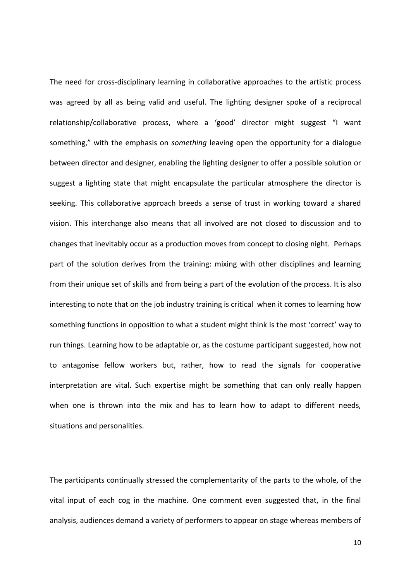The need for cross-disciplinary learning in collaborative approaches to the artistic process was agreed by all as being valid and useful. The lighting designer spoke of a reciprocal relationship/collaborative process, where a 'good' director might suggest "I want something," with the emphasis on *something* leaving open the opportunity for a dialogue between director and designer, enabling the lighting designer to offer a possible solution or suggest a lighting state that might encapsulate the particular atmosphere the director is seeking. This collaborative approach breeds a sense of trust in working toward a shared vision. This interchange also means that all involved are not closed to discussion and to changes that inevitably occur as a production moves from concept to closing night. Perhaps part of the solution derives from the training: mixing with other disciplines and learning from their unique set of skills and from being a part of the evolution of the process. It is also interesting to note that on the job industry training is critical when it comes to learning how something functions in opposition to what a student might think is the most 'correct' way to run things. Learning how to be adaptable or, as the costume participant suggested, how not to antagonise fellow workers but, rather, how to read the signals for cooperative interpretation are vital. Such expertise might be something that can only really happen when one is thrown into the mix and has to learn how to adapt to different needs, situations and personalities.

The participants continually stressed the complementarity of the parts to the whole, of the vital input of each cog in the machine. One comment even suggested that, in the final analysis, audiences demand a variety of performers to appear on stage whereas members of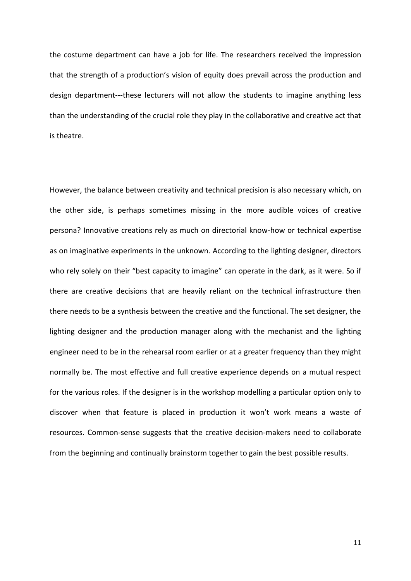the costume department can have a job for life. The researchers received the impression that the strength of a production's vision of equity does prevail across the production and design department---these lecturers will not allow the students to imagine anything less than the understanding of the crucial role they play in the collaborative and creative act that is theatre.

However, the balance between creativity and technical precision is also necessary which, on the other side, is perhaps sometimes missing in the more audible voices of creative persona? Innovative creations rely as much on directorial know-how or technical expertise as on imaginative experiments in the unknown. According to the lighting designer, directors who rely solely on their "best capacity to imagine" can operate in the dark, as it were. So if there are creative decisions that are heavily reliant on the technical infrastructure then there needs to be a synthesis between the creative and the functional. The set designer, the lighting designer and the production manager along with the mechanist and the lighting engineer need to be in the rehearsal room earlier or at a greater frequency than they might normally be. The most effective and full creative experience depends on a mutual respect for the various roles. If the designer is in the workshop modelling a particular option only to discover when that feature is placed in production it won't work means a waste of resources. Common-sense suggests that the creative decision-makers need to collaborate from the beginning and continually brainstorm together to gain the best possible results.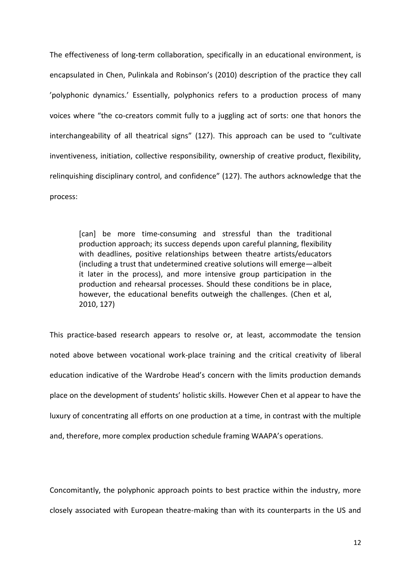The effectiveness of long-term collaboration, specifically in an educational environment, is encapsulated in Chen, Pulinkala and Robinson's (2010) description of the practice they call 'polyphonic dynamics.' Essentially, polyphonics refers to a production process of many voices where "the co-creators commit fully to a juggling act of sorts: one that honors the interchangeability of all theatrical signs" (127). This approach can be used to "cultivate inventiveness, initiation, collective responsibility, ownership of creative product, flexibility, relinquishing disciplinary control, and confidence" (127). The authors acknowledge that the process:

[can] be more time-consuming and stressful than the traditional production approach; its success depends upon careful planning, flexibility with deadlines, positive relationships between theatre artists/educators (including a trust that undetermined creative solutions will emerge—albeit it later in the process), and more intensive group participation in the production and rehearsal processes. Should these conditions be in place, however, the educational benefits outweigh the challenges. (Chen et al, 2010, 127)

This practice-based research appears to resolve or, at least, accommodate the tension noted above between vocational work-place training and the critical creativity of liberal education indicative of the Wardrobe Head's concern with the limits production demands place on the development of students' holistic skills. However Chen et al appear to have the luxury of concentrating all efforts on one production at a time, in contrast with the multiple and, therefore, more complex production schedule framing WAAPA's operations.

Concomitantly, the polyphonic approach points to best practice within the industry, more closely associated with European theatre-making than with its counterparts in the US and